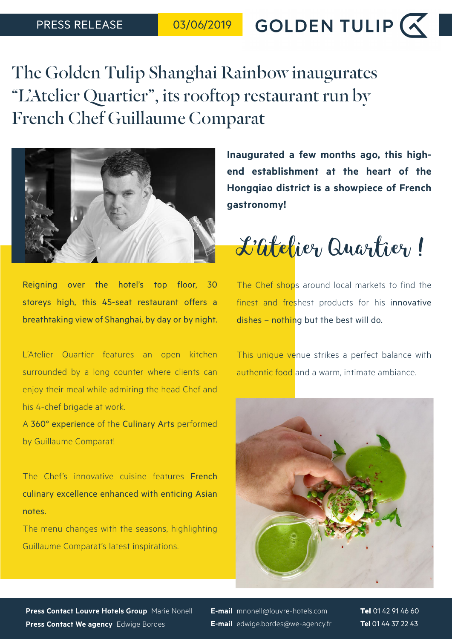GOLDEN TULIP  $\left(\right)$ 

The Golden Tulip Shanghai Rainbow inaugurates "L'Atelier Quartier", its rooftop restaurant run by French Chef Guillaume Comparat



Reigning over the hotel's top floor, 30 storeys high, this 45-seat restaurant offers a breathtaking view of Shanghai, by day or by night.

L'Atelier Quartier features an open kitchen surrounded by a long counter where clients can enjoy their meal while admiring the head Chef and his 4-chef brigade at work.

A 360° experience of the Culinary Arts performed by Guillaume Comparat!

The Chef's innovative cuisine features French culinary excellence enhanced with enticing Asian notes.

The menu changes with the seasons, highlighting Guillaume Comparat's latest inspirations.

**Inaugurated a few months ago, this highend establishment at the heart of the Hongqiao district is a showpiece of French gastronomy!**

L'Atelier Quartier !

The Chef shops around local markets to find the finest and freshest products for his innovative dishes – nothing but the best will do.

This unique venue strikes a perfect balance with authentic food and a warm, intimate ambiance.



**Press Contact Louvre Hotels Group** Marie Nonell **Press Contact We agency** Edwige Bordes

**E-mail** mnonell@louvre-hotels.com **E-mail** edwige.bordes@we-agency.fr **Tel** 01 42 91 46 60 **Tel** 01 44 37 22 43